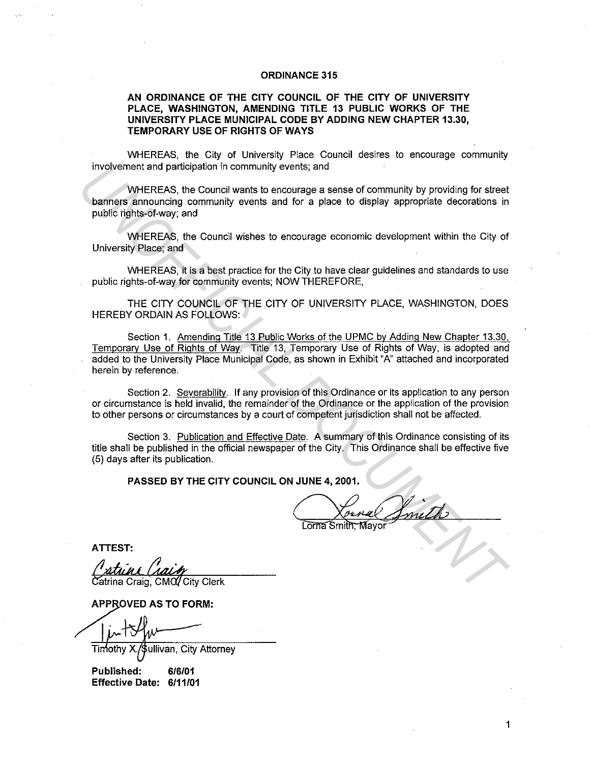# **ORDINANCE 315**

# **AN ORDINANCE OF THE CITY COUNCIL OF THE CITY OF UNIVERSITY PLACE, WASHINGTON, AMENDING TITLE 13 PUBLIC WORKS OF THE UNIVERSITY PLACE MUNICIPAL CODE BY ADDING NEW CHAPTER 13.30, TEMPORARY USE OF RIGHTS OF WAYS**

WHEREAS, the City of University Place Council desires to encourage community involvement and participation in community events; and

WHEREAS, the Council wants to encourage a sense of community by providing for street banners announcing community events and for a place to display appropriate decorations in public rights-of-way; and

WHEREAS, the Council wishes to encourage economic development within the City of University Place; and

WHEREAS, it is a best practice for the City to have clear guidelines and standards to use public rights-of-way for community events; NOW THEREFORE,

THE CITY COUNCIL OF THE CITY OF UNIVERSITY PLACE, WASHINGTON, DOES HEREBY ORDAIN AS FOLLOWS:

Section 1. Amending Title 13 Public Works of the UPMC by Adding New Chapter 13.30, Temporary Use of Rights of Way. Title 13, Temporary Use of Rights of Way, is adopted and added to the University Place Municipal Code, as shown in Exhibit "A" attached and incorporated herein by reference. Involvement and participation in community events; and<br>
WHEREAS, its Council wanks to encourage a sense of community by providing for streat<br>
bublic rights-of-way; and<br>
WHEREAS, it is council wishes to encourage economic d

Section 2. Severabilitv. If any provision of this Ordinance or its application to any person or circumstance is held invalid, the remainder of the Ordinance or the application of the provision to other persons or circumstances by a court of competent jurisdiction shall not be affected.

Section 3. Publication and Effective Date. A summary of this Ordinance consisting of its title shall be published in the official newspaper of the City. This Ordinance shall be effective five (5) days after its publication.

**PASSED BY THE CITY COUNCIL ON JUNE 4, 2001.** 

**ATTEST:** 

atrina Craig, CM $\alpha$  City Clerk

**APPROVED AS TO FORM:** 

Timothy allivan, City Attorney

**Published: 6/6/01 Effective Date: 6/11/01**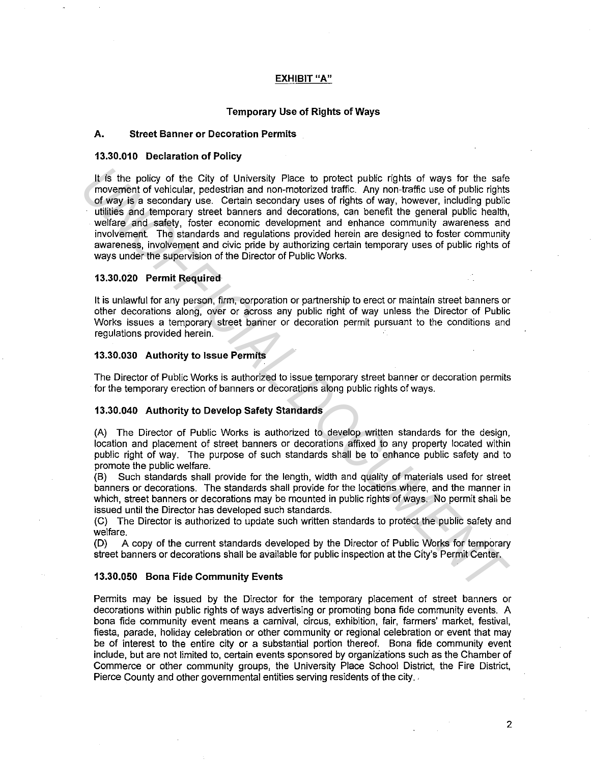# **EXHIBIT "A"**

# **Temporary Use of Rights of Ways**

### **A. Street Banner or Decoration Permits**

#### **13.30.010 Declaration of Policy**

It is the policy of the City of University Place to protect public rights of ways for the safe movement of vehicular, pedestrian and non-motorized traffic. Any non-traffic use of public rights of way is a secondary use. Certain secondary uses of rights of way, however, including public utilities and temporary street banners and decorations, can benefit the general public health, welfare and safety, foster economic development and enhance community awareness and involvement. The standards and regulations provided herein are designed to foster community awareness, involvement and civic pride by authorizing certain temporary uses of public rights of ways under the supervision of the Director of Public Works. It is the policy of the City of University Piace to protect public rights of ways for the safe movement of vehicular, pedestion and non-motorized tratic. Any non-trafic use of public rights of way is a secondary use. Certa

#### **13.30.020 Permit Required**

It is unlawful for any person, firm, corporation or partnership to erect or maintain street banners or other decorations along, over or across any public right of way unless the Director of Public Works issues a temporary street banner or decoration permit pursuant to the conditions and regulations provided herein.

### **13.30.030 Authority to Issue Permits**

The Director of Public Works is authorized to issue temporary street banner or decoration permits for the temporary erection of banners or decorations along public rights of ways.

#### **13.30.040 Authority to Develop Safety Standards**

(A) The Director of Public Works is authorized to develop written standards for the design, location and placement of street banners or decorations affixed to any property located within public right of way. The purpose of such standards shall be to enhance public safety and to promote the public welfare.

(B) Such standards shall provide for the length, width and quality of materials used for street banners or decorations. The standards shall provide for the locations where, and the manner in which, street banners or decorations may be mounted in public rights of ways. No permit shall be issued until the Director has developed such standards.

(C) The Director is authorized to update such written standards to protect the public safety and welfare.

(D) A copy of the current standards developed by the Director of Public Works for temporary street banners or decorations shall be available for public inspection at the City's Permit Center.

#### **13.30.050 Bona Fide Community Events**

Permits may be issued by the Director for the temporary placement of street banners or decorations within public rights of ways advertising or promoting bona fide community events. A bona fide community event means a carnival, circus, exhibition, fair, farmers' market, festival, fiesta, parade, holiday celebration or other community or regional celebration or event that may be of interest to the entire city or a substantial portion thereof. Bona fide community event include, but are not limited to, certain events sponsored by organizations such as the Chamber of Commerce or other community groups, the University Place School District, the Fire District, Pierce County and other governmental entities serving residents of the city.